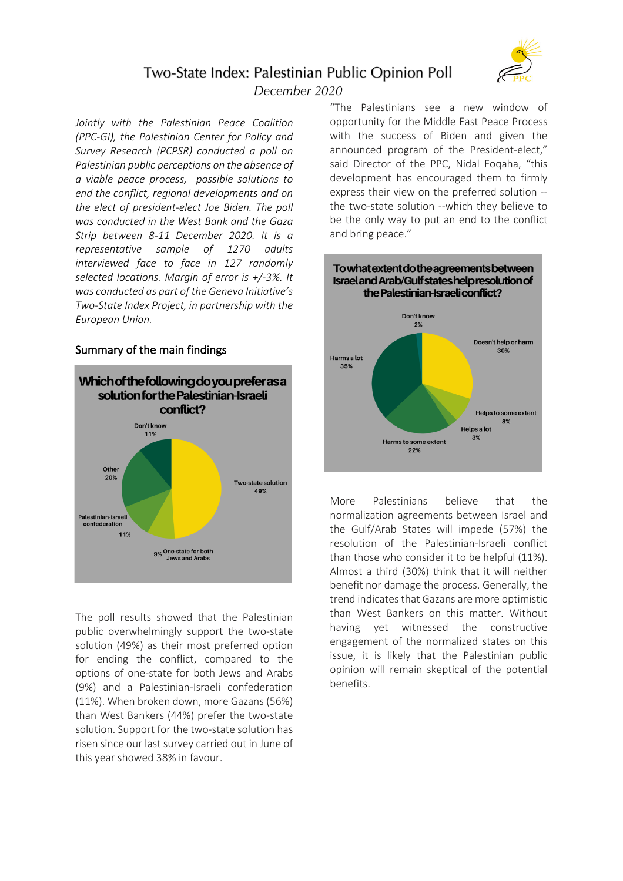

# Two-State Index: Palestinian Public Opinion Poll

December 2020

*Jointly with the Palestinian Peace Coalition (PPC-GI), the Palestinian Center for Policy and Survey Research (PCPSR) conducted a poll on Palestinian public perceptions on the absence of a viable peace process, possible solutions to end the conflict, regional developments and on the elect of president-elect Joe Biden. The poll was conducted in the West Bank and the Gaza Strip between 8-11 December 2020. It is a representative sample of 1270 adults interviewed face to face in 127 randomly selected locations. Margin of error is +/-3%. It was conducted as part of the Geneva Initiative's Two-State Index Project, in partnership with the European Union.*

# Summary of the main findings



The poll results showed that the Palestinian public overwhelmingly support the two-state solution (49%) as their most preferred option for ending the conflict, compared to the options of one-state for both Jews and Arabs (9%) and a Palestinian-Israeli confederation (11%). When broken down, more Gazans (56%) than West Bankers (44%) prefer the two-state solution. Support for the two-state solution has risen since our last survey carried out in June of this year showed 38% in favour.

"The Palestinians see a new window of opportunity for the Middle East Peace Process with the success of Biden and given the announced program of the President-elect," said Director of the PPC, Nidal Foqaha, "this development has encouraged them to firmly express their view on the preferred solution - the two-state solution --which they believe to be the only way to put an end to the conflict and bring peace."



More Palestinians believe that the normalization agreements between Israel and the Gulf/Arab States will impede (57%) the resolution of the Palestinian-Israeli conflict than those who consider it to be helpful (11%). Almost a third (30%) think that it will neither benefit nor damage the process. Generally, the trend indicates that Gazans are more optimistic than West Bankers on this matter. Without having yet witnessed the constructive engagement of the normalized states on this issue, it is likely that the Palestinian public opinion will remain skeptical of the potential benefits.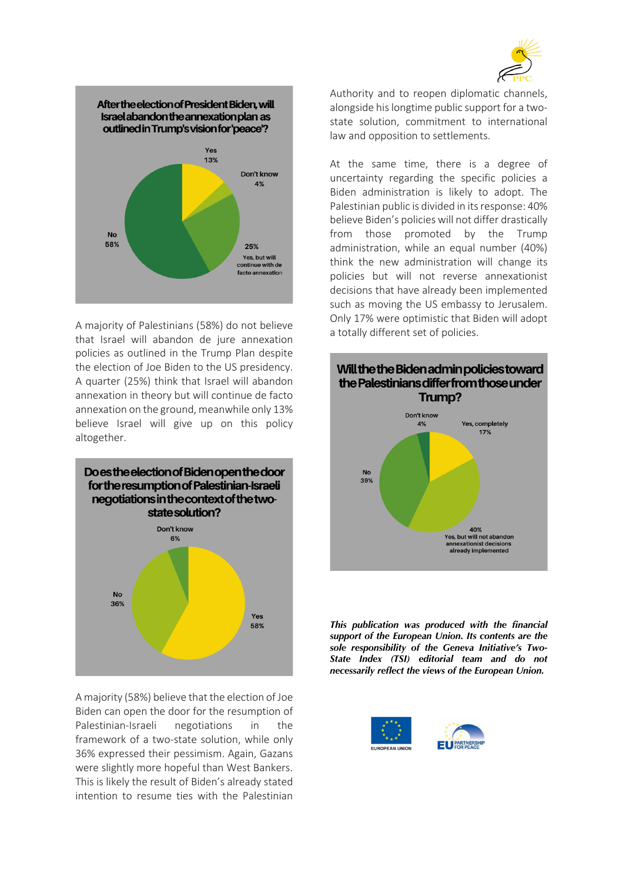



A majority of Palestinians (58%) do not believe that Israel will abandon de jure annexation policies as outlined in the Trump Plan despite the election of Joe Biden to the US presidency. A quarter (25%) think that Israel will abandon annexation in theory but will continue de facto annexation on the ground, meanwhile only 13% believe Israel will give up on this policy altogether.



A majority (58%) believe that the election of Joe Biden can open the door for the resumption of Palestinian-Israeli negotiations in the framework of a two-state solution, while only 36% expressed their pessimism. Again, Gazans were slightly more hopeful than West Bankers. This is likely the result of Biden's already stated intention to resume ties with the Palestinian Authority and to reopen diplomatic channels, alongside his longtime public support for a twostate solution, commitment to international law and opposition to settlements.

At the same time, there is a degree of uncertainty regarding the specific policies a Biden administration is likely to adopt. The Palestinian public is divided in its response: 40% believe Biden's policies will not differ drastically from those promoted by the Trump administration, while an equal number (40%) think the new administration will change its policies but will not reverse annexationist decisions that have already been implemented such as moving the US embassy to Jerusalem. Only 17% were optimistic that Biden will adopt a totally different set of policies.



*This publication was produced with the financial support of the European Union. Its contents are the sole responsibility of the Geneva Initiative's Two-State Index (TSI) editorial team and do not necessarily reflect the views of the European Union.*